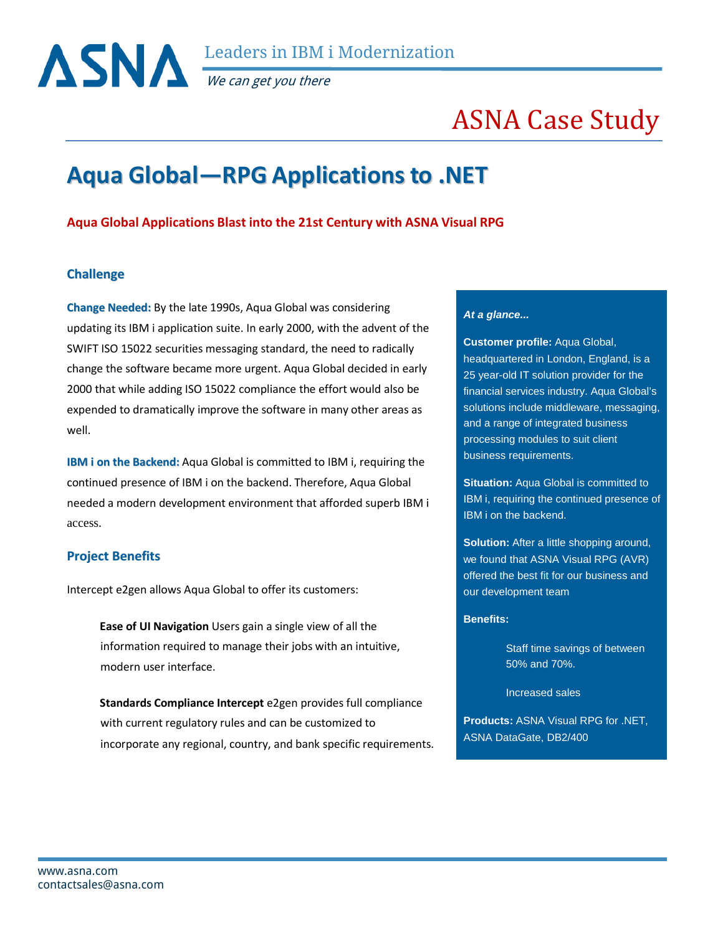

We can get you there

# ASNA Case Study

# **Aqua Global—RPG Applicationsto .NET**

# **Aqua Global Applications Blast into the 21st Century with ASNA Visual RPG**

## **Challenge**

**Change Needed:** By the late 1990s, Aqua Global was considering updating its IBM i application suite. In early 2000, with the advent of the SWIFT ISO 15022 securities messaging standard, the need to radically change the software became more urgent. Aqua Global decided in early 2000 that while adding ISO 15022 compliance the effort would also be expended to dramatically improve the software in many other areas as well.

**IBM i on the Backend:** Aqua Global is committed to IBM i, requiring the continued presence of IBM i on the backend. Therefore, Aqua Global needed a modern development environment that afforded superb IBM i access.

### **Project Benefits**

Intercept e2gen allows Aqua Global to offer its customers:

 **Ease of UI Navigation** Users gain a single view of all the information required to manage their jobs with an intuitive, modern user interface.

 **Standards Compliance Intercept** e2gen provides full compliance with current regulatory rules and can be customized to incorporate any regional, country, and bank specific requirements.

#### *At a glance...*

**Customer profile:** Aqua Global, headquartered in London, England, is a 25 year-old IT solution provider for the financial services industry. Aqua Global's solutions include middleware, messaging, and a range of integrated business processing modules to suit client business requirements.

**Situation:** Aqua Global is committed to IBM i, requiring the continued presence of IBM i on the backend.

**Solution:** After a little shopping around, we found that ASNA Visual RPG (AVR) offered the best fit for our business and our development team

#### **Benefits:**

Staff time savings of between 50% and 70%.

Increased sales

**Products:** ASNA Visual RPG for .NET, ASNA DataGate, DB2/400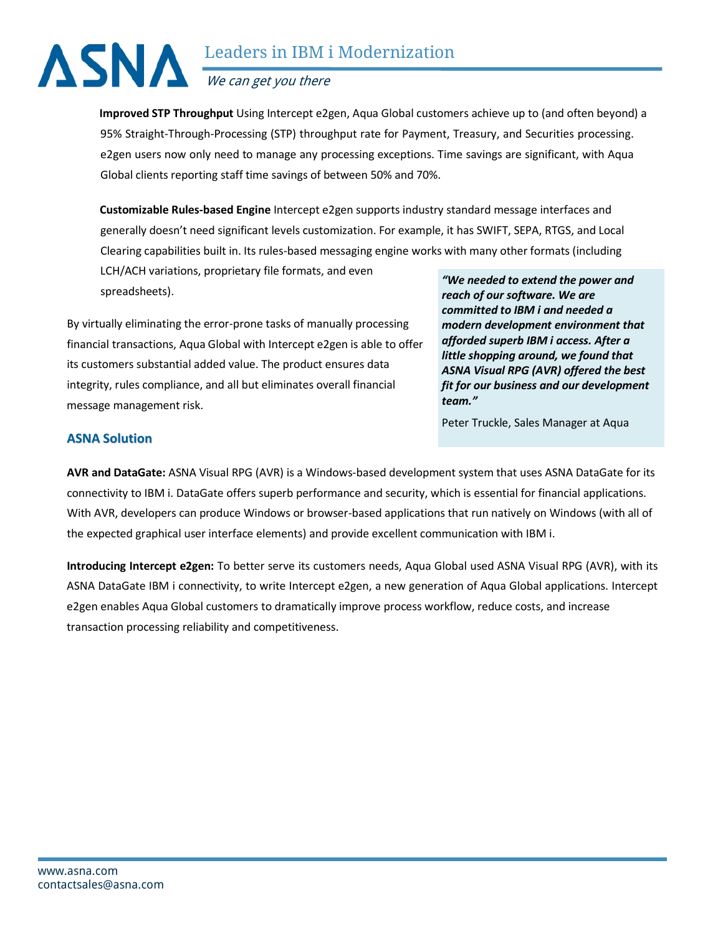# Leaders in IBM i Modernization We can get you there

 **Improved STP Throughput** Using Intercept e2gen, Aqua Global customers achieve up to (and often beyond) a 95% Straight-Through-Processing (STP) throughput rate for Payment, Treasury, and Securities processing. e2gen users now only need to manage any processing exceptions. Time savings are significant, with Aqua Global clients reporting staff time savings of between 50% and 70%.

 **Customizable Rules-based Engine** Intercept e2gen supports industry standard message interfaces and generally doesn't need significant levels customization. For example, it has SWIFT, SEPA, RTGS, and Local Clearing capabilities built in. Its rules-based messaging engine works with many other formats (including

LCH/ACH variations, proprietary file formats, and even spreadsheets).

By virtually eliminating the error-prone tasks of manually processing financial transactions, Aqua Global with Intercept e2gen is able to offer its customers substantial added value. The product ensures data integrity, rules compliance, and all but eliminates overall financial message management risk.

*"We needed to extend the power and reach of our software. We are committed to IBM i and needed a modern development environment that afforded superb IBM i access. After a little shopping around, we found that ASNA Visual RPG (AVR) offered the best fit for our business and our development team."*

Peter Truckle, Sales Manager at Aqua

# **ASNA Solution**

**AVR and DataGate:** ASNA Visual RPG (AVR) is a Windows-based development system that uses ASNA DataGate for its connectivity to IBM i. DataGate offers superb performance and security, which is essential for financial applications. With AVR, developers can produce Windows or browser-based applications that run natively on Windows (with all of the expected graphical user interface elements) and provide excellent communication with IBM i.

**Introducing Intercept e2gen:** To better serve its customers needs, Aqua Global used ASNA Visual RPG (AVR), with its ASNA DataGate IBM i connectivity, to write Intercept e2gen, a new generation of Aqua Global applications. Intercept e2gen enables Aqua Global customers to dramatically improve process workflow, reduce costs, and increase transaction processing reliability and competitiveness.